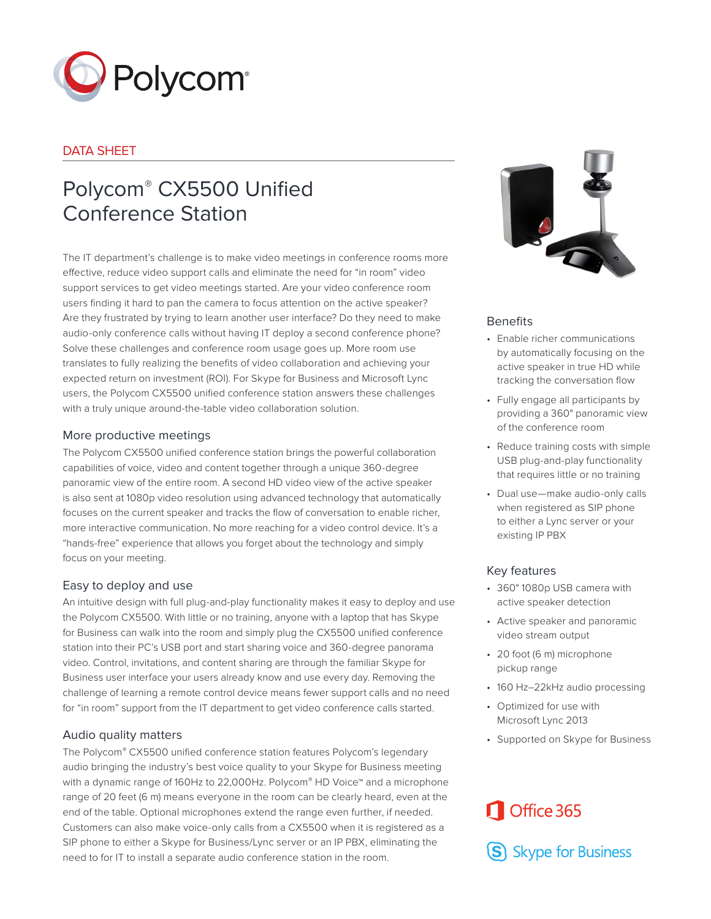

#### DATA SHEET

## Polycom® CX5500 Unified Conference Station

The IT department's challenge is to make video meetings in conference rooms more effective, reduce video support calls and eliminate the need for "in room" video support services to get video meetings started. Are your video conference room users finding it hard to pan the camera to focus attention on the active speaker? Are they frustrated by trying to learn another user interface? Do they need to make audio-only conference calls without having IT deploy a second conference phone? Solve these challenges and conference room usage goes up. More room use translates to fully realizing the benefits of video collaboration and achieving your expected return on investment (ROI). For Skype for Business and Microsoft Lync users, the Polycom CX5500 unified conference station answers these challenges with a truly unique around-the-table video collaboration solution.

#### More productive meetings

The Polycom CX5500 unified conference station brings the powerful collaboration capabilities of voice, video and content together through a unique 360-degree panoramic view of the entire room. A second HD video view of the active speaker is also sent at 1080p video resolution using advanced technology that automatically focuses on the current speaker and tracks the flow of conversation to enable richer, more interactive communication. No more reaching for a video control device. It's a "hands-free" experience that allows you forget about the technology and simply focus on your meeting.

### Easy to deploy and use

An intuitive design with full plug-and-play functionality makes it easy to deploy and use the Polycom CX5500. With little or no training, anyone with a laptop that has Skype for Business can walk into the room and simply plug the CX5500 unified conference station into their PC's USB port and start sharing voice and 360-degree panorama video. Control, invitations, and content sharing are through the familiar Skype for Business user interface your users already know and use every day. Removing the challenge of learning a remote control device means fewer support calls and no need for "in room" support from the IT department to get video conference calls started.

#### Audio quality matters

The Polycom® CX5500 unified conference station features Polycom's legendary audio bringing the industry's best voice quality to your Skype for Business meeting with a dynamic range of 160Hz to 22,000Hz. Polycom® HD Voice™ and a microphone range of 20 feet (6 m) means everyone in the room can be clearly heard, even at the end of the table. Optional microphones extend the range even further, if needed. Customers can also make voice-only calls from a CX5500 when it is registered as a SIP phone to either a Skype for Business/Lync server or an IP PBX, eliminating the need to for IT to install a separate audio conference station in the room.



#### **Benefits**

- Enable richer communications by automatically focusing on the active speaker in true HD while tracking the conversation flow
- Fully engage all participants by providing a 360° panoramic view of the conference room
- Reduce training costs with simple USB plug-and-play functionality that requires little or no training
- Dual use—make audio-only calls when registered as SIP phone to either a Lync server or your existing IP PBX

### Key features

- 360° 1080p USB camera with active speaker detection
- Active speaker and panoramic video stream output
- 20 foot (6 m) microphone pickup range
- 160 Hz-22kHz audio processing
- Optimized for use with Microsoft Lync 2013
- Supported on Skype for Business

# Office 365

S Skype for Business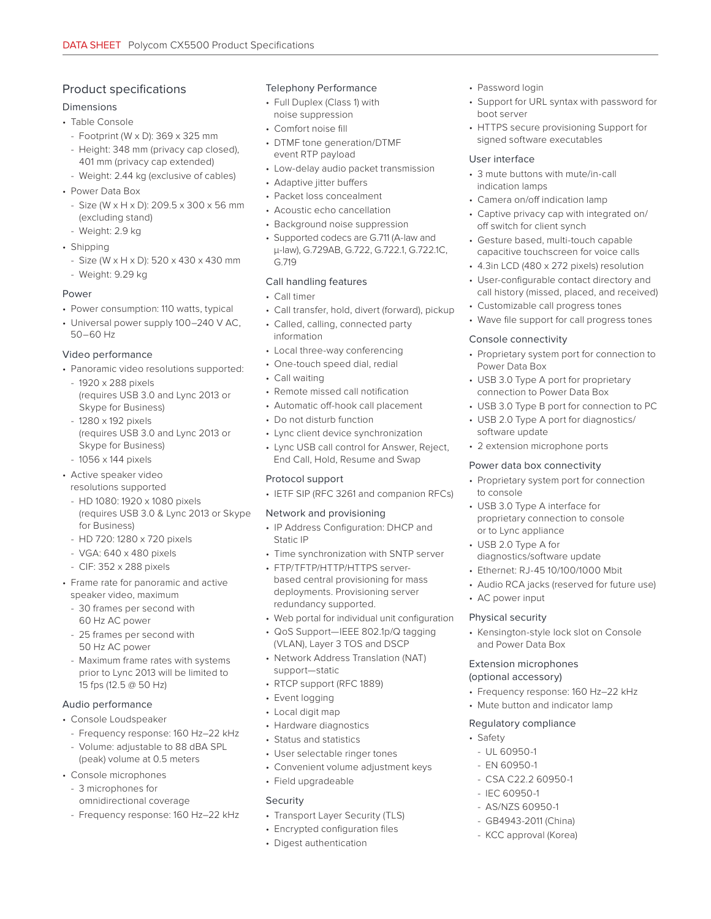### Product specifications

#### Dimensions

- Table Console
	- Footprint (W x D): 369 x 325 mm
	- Height: 348 mm (privacy cap closed), 401 mm (privacy cap extended)
	- Weight: 2.44 kg (exclusive of cables)
- Power Data Box
- Size (W x H x D): 209.5 x 300 x 56 mm (excluding stand)
- Weight: 2.9 kg
- Shipping
- Size (W x H x D): 520 x 430 x 430 mm
- Weight: 9.29 kg

#### Power

- Power consumption: 110 watts, typical
- Universal power supply 100–240 V AC, 50–60 Hz

#### Video performance

- Panoramic video resolutions supported:
	- 1920 x 288 pixels (requires USB 3.0 and Lync 2013 or Skype for Business)
	- 1280 x 192 pixels (requires USB 3.0 and Lync 2013 or Skype for Business) - 1056 x 144 pixels
- Active speaker video resolutions supported
	- HD 1080: 1920 x 1080 pixels (requires USB 3.0 & Lync 2013 or Skype for Business)
	- HD 720: 1280 x 720 pixels
	- VGA: 640 x 480 pixels
	- CIF: 352 x 288 pixels
- Frame rate for panoramic and active speaker video, maximum
	- 30 frames per second with 60 Hz AC power
	- 25 frames per second with 50 Hz AC power
	- Maximum frame rates with systems prior to Lync 2013 will be limited to 15 fps (12.5 @ 50 Hz)

#### Audio performance

- Console Loudspeaker
- Frequency response: 160 Hz–22 kHz
- Volume: adjustable to 88 dBA SPL (peak) volume at 0.5 meters
- Console microphones
	- 3 microphones for
	- omnidirectional coverage
	- Frequency response: 160 Hz–22 kHz

#### Telephony Performance

- Full Duplex (Class 1) with noise suppression
- Comfort noise fill
- DTMF tone generation/DTMF event RTP payload
- Low-delay audio packet transmission
- Adaptive jitter buffers
- Packet loss concealment
- Acoustic echo cancellation
- Background noise suppression
- Supported codecs are G.711 (A-law and μ-law), G.729AB, G.722, G.722.1, G.722.1C, G.719

#### Call handling features

- Call timer
- Call transfer, hold, divert (forward), pickup
- Called, calling, connected party information
- Local three-way conferencing
- One-touch speed dial, redial
- Call waiting
- Remote missed call notification
- Automatic off-hook call placement
- Do not disturb function
- Lync client device synchronization
- Lync USB call control for Answer, Reject, End Call, Hold, Resume and Swap

#### Protocol support

• IETF SIP (RFC 3261 and companion RFCs)

#### Network and provisioning

- IP Address Configuration: DHCP and Static IP
- Time synchronization with SNTP server
- FTP/TFTP/HTTP/HTTPS serverbased central provisioning for mass deployments. Provisioning server redundancy supported.
- Web portal for individual unit configuration
- QoS Support—IEEE 802.1p/Q tagging (VLAN), Layer 3 TOS and DSCP
- Network Address Translation (NAT) support—static
- RTCP support (RFC 1889)
- Event logging
- Local digit map
- Hardware diagnostics
- Status and statistics
- User selectable ringer tones
- Convenient volume adjustment keys
- Field upgradeable

#### Security

- Transport Layer Security (TLS)
- Encrypted configuration files
- Digest authentication

#### • Password login

- Support for URL syntax with password for boot server
- HTTPS secure provisioning Support for signed software executables

#### User interface

- 3 mute buttons with mute/in-call indication lamps
- Camera on/off indication lamp
- Captive privacy cap with integrated on/ off switch for client synch
- Gesture based, multi-touch capable capacitive touchscreen for voice calls
- 4.3in LCD (480 x 272 pixels) resolution
- User-configurable contact directory and call history (missed, placed, and received)
- Customizable call progress tones
- Wave file support for call progress tones

#### Console connectivity

- Proprietary system port for connection to Power Data Box
- USB 3.0 Type A port for proprietary connection to Power Data Box
- USB 3.0 Type B port for connection to PC
- USB 2.0 Type A port for diagnostics/ software update
- 2 extension microphone ports

#### Power data box connectivity

• USB 3.0 Type A interface for proprietary connection to console

diagnostics/software update • Ethernet: RJ-45 10/100/1000 Mbit • Audio RCA jacks (reserved for future use)

• Kensington-style lock slot on Console

• Frequency response: 160 Hz–22 kHz • Mute button and indicator lamp

or to Lync appliance • USB 2.0 Type A for

• AC power input Physical security

and Power Data Box Extension microphones (optional accessory)

Regulatory compliance

- CSA C22.2 60950-1 - IEC 60950-1 - AS/NZS 60950-1 - GB4943-2011 (China) - KCC approval (Korea)

- UL 60950-1 - EN 60950-1

• Safety

• Proprietary system port for connection to console